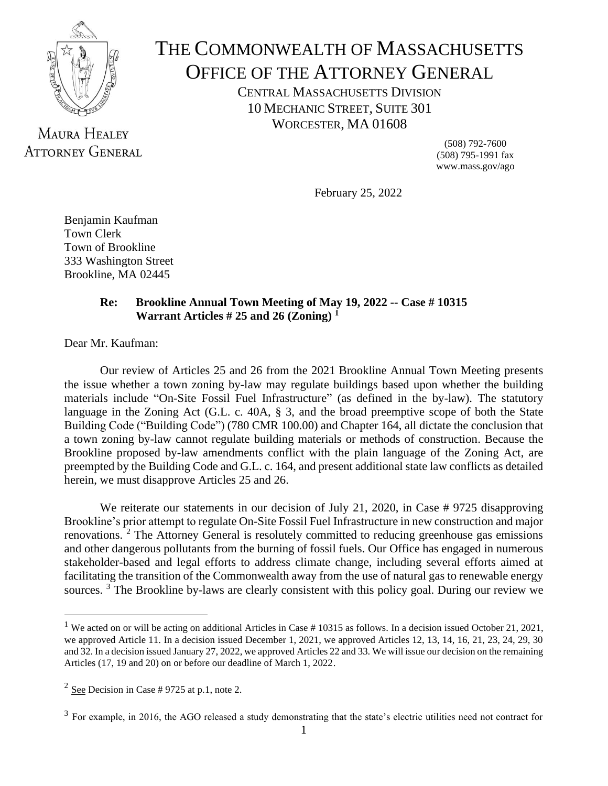

# THE COMMONWEALTH OF MASSACHUSETTS OFFICE OF THE ATTORNEY GENERAL

CENTRAL MASSACHUSETTS DIVISION 10 MECHANIC STREET, SUITE 301 WORCESTER, MA 01608

**MAURA HEALEY ATTORNEY GENERAL** 

(508) 792-7600 (508) 795-1991 fax www.mass.gov/ago

February 25, 2022

Benjamin Kaufman Town Clerk Town of Brookline 333 Washington Street Brookline, MA 02445

## **Re: Brookline Annual Town Meeting of May 19, 2022 -- Case # 10315 Warrant Articles # 25 and 26 (Zoning) 1**

Dear Mr. Kaufman:

Our review of Articles 25 and 26 from the 2021 Brookline Annual Town Meeting presents the issue whether a town zoning by-law may regulate buildings based upon whether the building materials include "On-Site Fossil Fuel Infrastructure" (as defined in the by-law). The statutory language in the Zoning Act (G.L. c. 40A, § 3, and the broad preemptive scope of both the State Building Code ("Building Code") (780 CMR 100.00) and Chapter 164, all dictate the conclusion that a town zoning by-law cannot regulate building materials or methods of construction. Because the Brookline proposed by-law amendments conflict with the plain language of the Zoning Act, are preempted by the Building Code and G.L. c. 164, and present additional state law conflicts as detailed herein, we must disapprove Articles 25 and 26.

We reiterate our statements in our decision of July 21, 2020, in Case # 9725 disapproving Brookline's prior attempt to regulate On-Site Fossil Fuel Infrastructure in new construction and major renovations.<sup>2</sup> The Attorney General is resolutely committed to reducing greenhouse gas emissions and other dangerous pollutants from the burning of fossil fuels. Our Office has engaged in numerous stakeholder-based and legal efforts to address climate change, including several efforts aimed at facilitating the transition of the Commonwealth away from the use of natural gas to renewable energy sources.<sup>3</sup> The Brookline by-laws are clearly consistent with this policy goal. During our review we

<sup>&</sup>lt;sup>1</sup> We acted on or will be acting on additional Articles in Case  $# 10315$  as follows. In a decision issued October 21, 2021, we approved Article 11. In a decision issued December 1, 2021, we approved Articles 12, 13, 14, 16, 21, 23, 24, 29, 30 and 32. In a decision issued January 27, 2022, we approved Articles 22 and 33. We will issue our decision on the remaining Articles (17, 19 and 20) on or before our deadline of March 1, 2022.

 $2 \text{ See}$  Decision in Case # 9725 at p.1, note 2.

 $3$  For example, in 2016, the AGO released a study demonstrating that the state's electric utilities need not contract for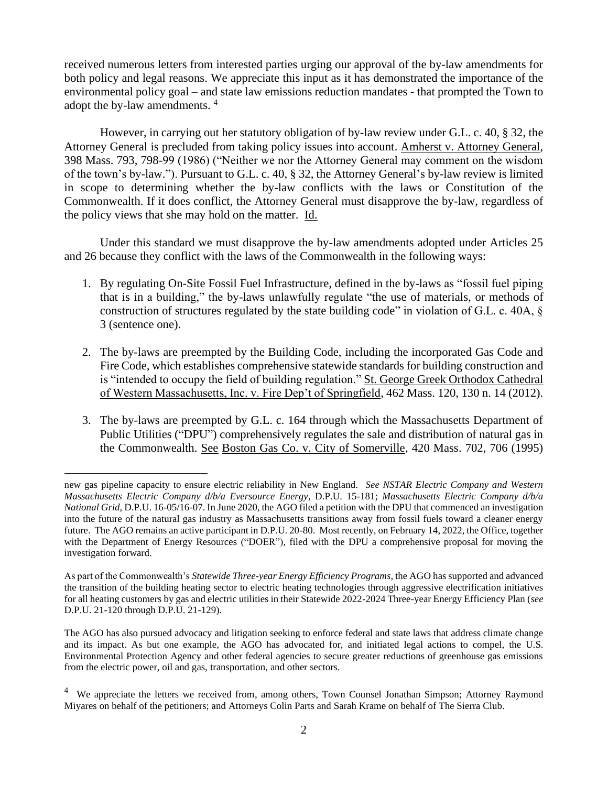received numerous letters from interested parties urging our approval of the by-law amendments for both policy and legal reasons. We appreciate this input as it has demonstrated the importance of the environmental policy goal – and state law emissions reduction mandates - that prompted the Town to adopt the by-law amendments. 4

However, in carrying out her statutory obligation of by-law review under G.L. c. 40, § 32, the Attorney General is precluded from taking policy issues into account. Amherst v. Attorney General, 398 Mass. 793, 798-99 (1986) ("Neither we nor the Attorney General may comment on the wisdom of the town's by-law."). Pursuant to G.L. c. 40, § 32, the Attorney General's by-law review is limited in scope to determining whether the by-law conflicts with the laws or Constitution of the Commonwealth. If it does conflict, the Attorney General must disapprove the by-law, regardless of the policy views that she may hold on the matter. Id.

Under this standard we must disapprove the by-law amendments adopted under Articles 25 and 26 because they conflict with the laws of the Commonwealth in the following ways:

- 1. By regulating On-Site Fossil Fuel Infrastructure, defined in the by-laws as "fossil fuel piping that is in a building," the by-laws unlawfully regulate "the use of materials, or methods of construction of structures regulated by the state building code" in violation of G.L. c. 40A, § 3 (sentence one).
- 2. The by-laws are preempted by the Building Code, including the incorporated Gas Code and Fire Code, which establishes comprehensive statewide standards for building construction and is "intended to occupy the field of building regulation." St. George Greek Orthodox Cathedral of Western Massachusetts, Inc. v. Fire Dep't of Springfield, 462 Mass. 120, 130 n. 14 (2012).
- 3. The by-laws are preempted by G.L. c. 164 through which the Massachusetts Department of Public Utilities ("DPU") comprehensively regulates the sale and distribution of natural gas in the Commonwealth. See Boston Gas Co. v. City of Somerville, 420 Mass. 702, 706 (1995)

new gas pipeline capacity to ensure electric reliability in New England. *See NSTAR Electric Company and Western Massachusetts Electric Company d/b/a Eversource Energy*, D.P.U. 15-181; *Massachusetts Electric Company d/b/a National Grid*, D.P.U. 16-05/16-07. In June 2020, the AGO filed a petition with the DPU that commenced an investigation into the future of the natural gas industry as Massachusetts transitions away from fossil fuels toward a cleaner energy future. The AGO remains an active participant in D.P.U. 20-80. Most recently, on February 14, 2022, the Office, together with the Department of Energy Resources ("DOER"), filed with the DPU a comprehensive proposal for moving the investigation forward.

As part of the Commonwealth's *Statewide Three-year Energy Efficiency Programs*, the AGO has supported and advanced the transition of the building heating sector to electric heating technologies through aggressive electrification initiatives for all heating customers by gas and electric utilities in their Statewide 2022-2024 Three-year Energy Efficiency Plan (*see* D.P.U. 21-120 through D.P.U. 21-129).

The AGO has also pursued advocacy and litigation seeking to enforce federal and state laws that address climate change and its impact. As but one example, the AGO has advocated for, and initiated legal actions to compel, the U.S. Environmental Protection Agency and other federal agencies to secure greater reductions of greenhouse gas emissions from the electric power, oil and gas, transportation, and other sectors.

<sup>&</sup>lt;sup>4</sup> We appreciate the letters we received from, among others, Town Counsel Jonathan Simpson; Attorney Raymond Miyares on behalf of the petitioners; and Attorneys Colin Parts and Sarah Krame on behalf of The Sierra Club.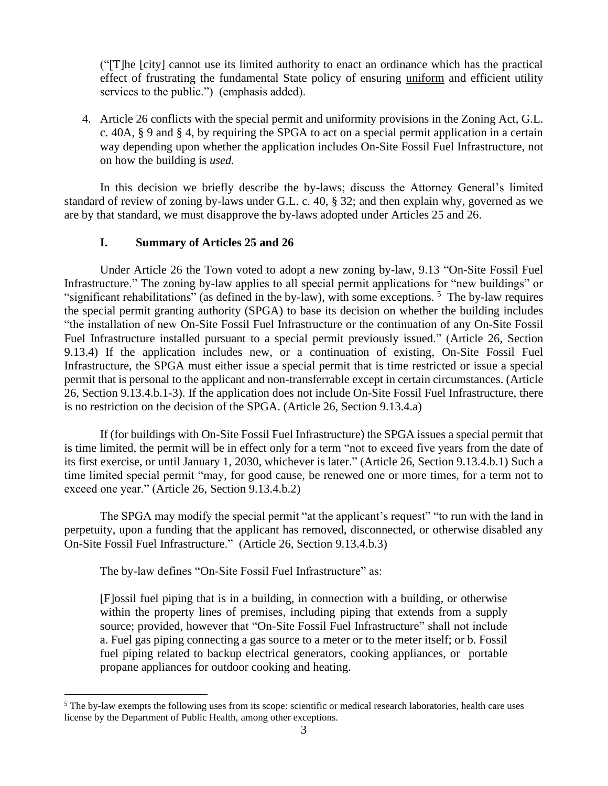("[T]he [city] cannot use its limited authority to enact an ordinance which has the practical effect of frustrating the fundamental State policy of ensuring uniform and efficient utility services to the public.") (emphasis added).

4. Article 26 conflicts with the special permit and uniformity provisions in the Zoning Act, G.L. c. 40A, § 9 and § 4, by requiring the SPGA to act on a special permit application in a certain way depending upon whether the application includes On-Site Fossil Fuel Infrastructure, not on how the building is *used.*

In this decision we briefly describe the by-laws; discuss the Attorney General's limited standard of review of zoning by-laws under G.L. c. 40, § 32; and then explain why, governed as we are by that standard, we must disapprove the by-laws adopted under Articles 25 and 26.

## **I. Summary of Articles 25 and 26**

Under Article 26 the Town voted to adopt a new zoning by-law, 9.13 "On-Site Fossil Fuel Infrastructure." The zoning by-law applies to all special permit applications for "new buildings" or "significant rehabilitations" (as defined in the by-law), with some exceptions.<sup>5</sup> The by-law requires the special permit granting authority (SPGA) to base its decision on whether the building includes "the installation of new On-Site Fossil Fuel Infrastructure or the continuation of any On-Site Fossil Fuel Infrastructure installed pursuant to a special permit previously issued." (Article 26, Section 9.13.4) If the application includes new, or a continuation of existing, On-Site Fossil Fuel Infrastructure, the SPGA must either issue a special permit that is time restricted or issue a special permit that is personal to the applicant and non-transferrable except in certain circumstances. (Article 26, Section 9.13.4.b.1-3). If the application does not include On-Site Fossil Fuel Infrastructure, there is no restriction on the decision of the SPGA. (Article 26, Section 9.13.4.a)

If (for buildings with On-Site Fossil Fuel Infrastructure) the SPGA issues a special permit that is time limited, the permit will be in effect only for a term "not to exceed five years from the date of its first exercise, or until January 1, 2030, whichever is later." (Article 26, Section 9.13.4.b.1) Such a time limited special permit "may, for good cause, be renewed one or more times, for a term not to exceed one year." (Article 26, Section 9.13.4.b.2)

The SPGA may modify the special permit "at the applicant's request" "to run with the land in perpetuity, upon a funding that the applicant has removed, disconnected, or otherwise disabled any On-Site Fossil Fuel Infrastructure." (Article 26, Section 9.13.4.b.3)

The by-law defines "On-Site Fossil Fuel Infrastructure" as:

[F]ossil fuel piping that is in a building, in connection with a building, or otherwise within the property lines of premises, including piping that extends from a supply source; provided, however that "On-Site Fossil Fuel Infrastructure" shall not include a. Fuel gas piping connecting a gas source to a meter or to the meter itself; or b. Fossil fuel piping related to backup electrical generators, cooking appliances, or portable propane appliances for outdoor cooking and heating.

 $<sup>5</sup>$  The by-law exempts the following uses from its scope: scientific or medical research laboratories, health care uses</sup> license by the Department of Public Health, among other exceptions.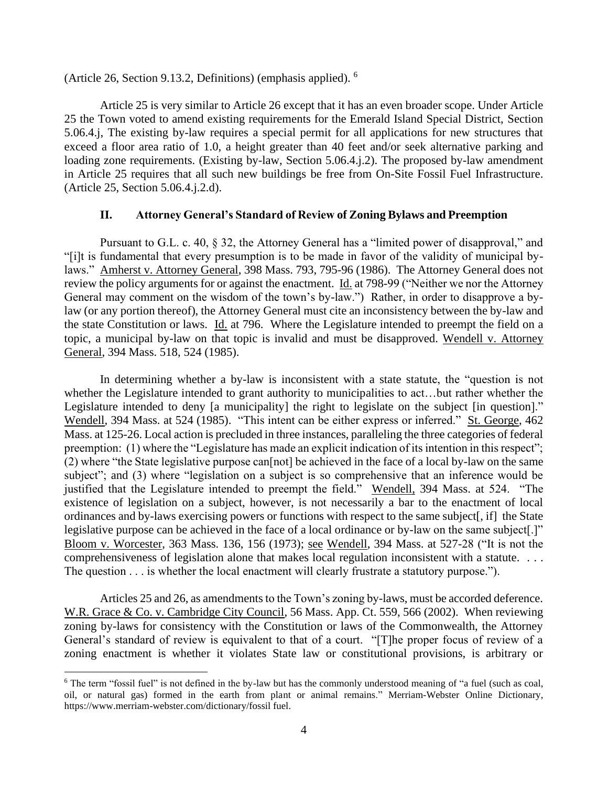(Article 26, Section 9.13.2, Definitions) (emphasis applied). 6

Article 25 is very similar to Article 26 except that it has an even broader scope. Under Article 25 the Town voted to amend existing requirements for the Emerald Island Special District, Section 5.06.4.j, The existing by-law requires a special permit for all applications for new structures that exceed a floor area ratio of 1.0, a height greater than 40 feet and/or seek alternative parking and loading zone requirements. (Existing by-law, Section 5.06.4.j.2). The proposed by-law amendment in Article 25 requires that all such new buildings be free from On-Site Fossil Fuel Infrastructure. (Article 25, Section 5.06.4.j.2.d).

## **II. Attorney General's Standard of Review of Zoning Bylaws and Preemption**

Pursuant to G.L. c. 40, § 32, the Attorney General has a "limited power of disapproval," and "[i]t is fundamental that every presumption is to be made in favor of the validity of municipal bylaws." Amherst v. Attorney General, 398 Mass. 793, 795-96 (1986). The Attorney General does not review the policy arguments for or against the enactment. Id. at 798-99 ("Neither we nor the Attorney General may comment on the wisdom of the town's by-law.") Rather, in order to disapprove a bylaw (or any portion thereof), the Attorney General must cite an inconsistency between the by-law and the state Constitution or laws. Id. at 796. Where the Legislature intended to preempt the field on a topic, a municipal by-law on that topic is invalid and must be disapproved. Wendell v. Attorney General, 394 Mass. 518, 524 (1985).

In determining whether a by-law is inconsistent with a state statute, the "question is not whether the Legislature intended to grant authority to municipalities to act…but rather whether the Legislature intended to deny [a municipality] the right to legislate on the subject [in question]." Wendell, 394 Mass. at 524 (1985). "This intent can be either express or inferred." St. George, 462 Mass. at 125-26. Local action is precluded in three instances, paralleling the three categories of federal preemption: (1) where the "Legislature has made an explicit indication of its intention in this respect"; (2) where "the State legislative purpose can[not] be achieved in the face of a local by-law on the same subject"; and (3) where "legislation on a subject is so comprehensive that an inference would be justified that the Legislature intended to preempt the field." Wendell, 394 Mass. at 524. "The existence of legislation on a subject, however, is not necessarily a bar to the enactment of local ordinances and by-laws exercising powers or functions with respect to the same subject[, if] the State legislative purpose can be achieved in the face of a local ordinance or by-law on the same subject[.]" Bloom v. Worcester, 363 Mass. 136, 156 (1973); see Wendell, 394 Mass. at 527-28 ("It is not the comprehensiveness of legislation alone that makes local regulation inconsistent with a statute. . . . The question . . . is whether the local enactment will clearly frustrate a statutory purpose.").

Articles 25 and 26, as amendments to the Town's zoning by-laws, must be accorded deference. W.R. Grace & Co. v. Cambridge City Council, 56 Mass. App. Ct. 559, 566 (2002). When reviewing zoning by-laws for consistency with the Constitution or laws of the Commonwealth, the Attorney General's standard of review is equivalent to that of a court. "[T]he proper focus of review of a zoning enactment is whether it violates State law or constitutional provisions, is arbitrary or

<sup>&</sup>lt;sup>6</sup> The term "fossil fuel" is not defined in the by-law but has the commonly understood meaning of "a fuel (such as coal, oil, or natural gas) formed in the earth from plant or animal remains." Merriam-Webster Online Dictionary, https://www.merriam-webster.com/dictionary/fossil fuel.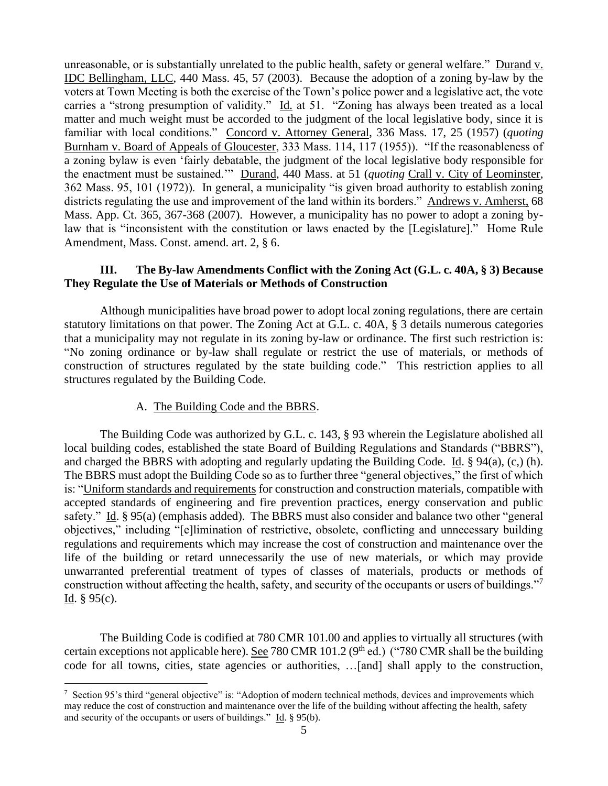unreasonable, or is substantially unrelated to the public health, safety or general welfare." Durand v. IDC Bellingham, LLC, 440 Mass. 45, 57 (2003). Because the adoption of a zoning by-law by the voters at Town Meeting is both the exercise of the Town's police power and a legislative act, the vote carries a "strong presumption of validity." Id. at 51. "Zoning has always been treated as a local matter and much weight must be accorded to the judgment of the local legislative body, since it is familiar with local conditions." Concord v. Attorney General, 336 Mass. 17, 25 (1957) (*quoting*  Burnham v. Board of Appeals of Gloucester, 333 Mass. 114, 117 (1955)). "If the reasonableness of a zoning bylaw is even 'fairly debatable, the judgment of the local legislative body responsible for the enactment must be sustained.'" Durand, 440 Mass. at 51 (*quoting* Crall v. City of Leominster, 362 Mass. 95, 101 (1972)). In general, a municipality "is given broad authority to establish zoning districts regulating the use and improvement of the land within its borders." Andrews v. Amherst, 68 Mass. App. Ct. 365, 367-368 (2007). However, a municipality has no power to adopt a zoning bylaw that is "inconsistent with the constitution or laws enacted by the [Legislature]." Home Rule Amendment, Mass. Const. amend. art. 2, § 6.

## **III. The By-law Amendments Conflict with the Zoning Act (G.L. c. 40A, § 3) Because They Regulate the Use of Materials or Methods of Construction**

Although municipalities have broad power to adopt local zoning regulations, there are certain statutory limitations on that power. The Zoning Act at G.L. c. 40A, § 3 details numerous categories that a municipality may not regulate in its zoning by-law or ordinance. The first such restriction is: "No zoning ordinance or by-law shall regulate or restrict the use of materials, or methods of construction of structures regulated by the state building code." This restriction applies to all structures regulated by the Building Code.

## A. The Building Code and the BBRS.

The Building Code was authorized by G.L. c. 143, § 93 wherein the Legislature abolished all local building codes, established the state Board of Building Regulations and Standards ("BBRS"), and charged the BBRS with adopting and regularly updating the Building Code. Id. § 94(a), (c,) (h). The BBRS must adopt the Building Code so as to further three "general objectives," the first of which is: "Uniform standards and requirements for construction and construction materials, compatible with accepted standards of engineering and fire prevention practices, energy conservation and public safety." Id. § 95(a) (emphasis added). The BBRS must also consider and balance two other "general objectives," including "[e]limination of restrictive, obsolete, conflicting and unnecessary building regulations and requirements which may increase the cost of construction and maintenance over the life of the building or retard unnecessarily the use of new materials, or which may provide unwarranted preferential treatment of types of classes of materials, products or methods of construction without affecting the health, safety, and security of the occupants or users of buildings."<sup>7</sup> Id.  $§ 95(c)$ .

The Building Code is codified at 780 CMR 101.00 and applies to virtually all structures (with certain exceptions not applicable here). See 780 CMR 101.2 ( $9<sup>th</sup>$  ed.) ("780 CMR shall be the building code for all towns, cities, state agencies or authorities, …[and] shall apply to the construction,

<sup>&</sup>lt;sup>7</sup> Section 95's third "general objective" is: "Adoption of modern technical methods, devices and improvements which may reduce the cost of construction and maintenance over the life of the building without affecting the health, safety and security of the occupants or users of buildings." Id.  $\S$  95(b).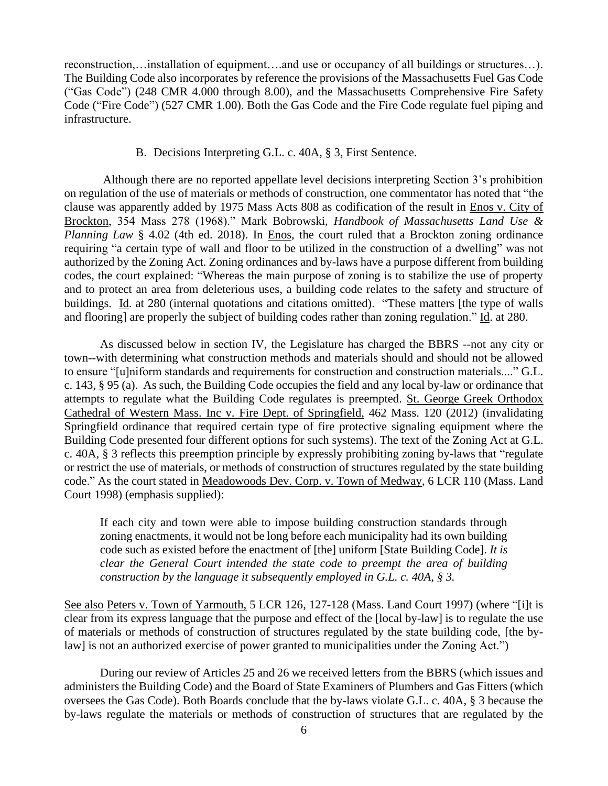reconstruction,…installation of equipment….and use or occupancy of all buildings or structures…). The Building Code also incorporates by reference the provisions of the Massachusetts Fuel Gas Code ("Gas Code") (248 CMR 4.000 through 8.00), and the Massachusetts Comprehensive Fire Safety Code ("Fire Code") (527 CMR 1.00). Both the Gas Code and the Fire Code regulate fuel piping and infrastructure.

#### B. Decisions Interpreting G.L. c. 40A, § 3, First Sentence.

Although there are no reported appellate level decisions interpreting Section 3's prohibition on regulation of the use of materials or methods of construction, one commentator has noted that "the clause was apparently added by 1975 Mass Acts 808 as codification of the result in Enos v. City of Brockton, 354 Mass 278 (1968)." Mark Bobrowski, *Handbook of Massachusetts Land Use & Planning Law* § 4.02 (4th ed. 2018). In Enos, the court ruled that a Brockton zoning ordinance requiring "a certain type of wall and floor to be utilized in the construction of a dwelling" was not authorized by the Zoning Act. Zoning ordinances and by-laws have a purpose different from building codes, the court explained: "Whereas the main purpose of zoning is to stabilize the use of property and to protect an area from deleterious uses, a building code relates to the safety and structure of buildings. Id. at 280 (internal quotations and citations omitted). "These matters [the type of walls and flooring] are properly the subject of building codes rather than zoning regulation." Id. at 280.

As discussed below in section IV, the Legislature has charged the BBRS --not any city or town--with determining what construction methods and materials should and should not be allowed to ensure "[u]niform standards and requirements for construction and construction materials...." G.L. c. 143, § 95 (a). As such, the Building Code occupies the field and any local by-law or ordinance that attempts to regulate what the Building Code regulates is preempted. St. George Greek Orthodox Cathedral of Western Mass. Inc v. Fire Dept. of Springfield, 462 Mass. 120 (2012) (invalidating Springfield ordinance that required certain type of fire protective signaling equipment where the Building Code presented four different options for such systems). The text of the Zoning Act at G.L. c. 40A, § 3 reflects this preemption principle by expressly prohibiting zoning by-laws that "regulate or restrict the use of materials, or methods of construction of structures regulated by the state building code." As the court stated in Meadowoods Dev. Corp. v. Town of Medway, 6 LCR 110 (Mass. Land Court 1998) (emphasis supplied):

If each city and town were able to impose building construction standards through zoning enactments, it would not be long before each municipality had its own building code such as existed before the enactment of [the] uniform [State Building Code]. *It is clear the General Court intended the state code to preempt the area of building construction by the language it subsequently employed in G.L. c. 40A, § 3.* 

See also Peters v. Town of Yarmouth, 5 LCR 126, 127-128 (Mass. Land Court 1997) (where "[i]t is clear from its express language that the purpose and effect of the [local by-law] is to regulate the use of materials or methods of construction of structures regulated by the state building code, [the bylaw] is not an authorized exercise of power granted to municipalities under the Zoning Act.")

During our review of Articles 25 and 26 we received letters from the BBRS (which issues and administers the Building Code) and the Board of State Examiners of Plumbers and Gas Fitters (which oversees the Gas Code). Both Boards conclude that the by-laws violate G.L. c. 40A, § 3 because the by-laws regulate the materials or methods of construction of structures that are regulated by the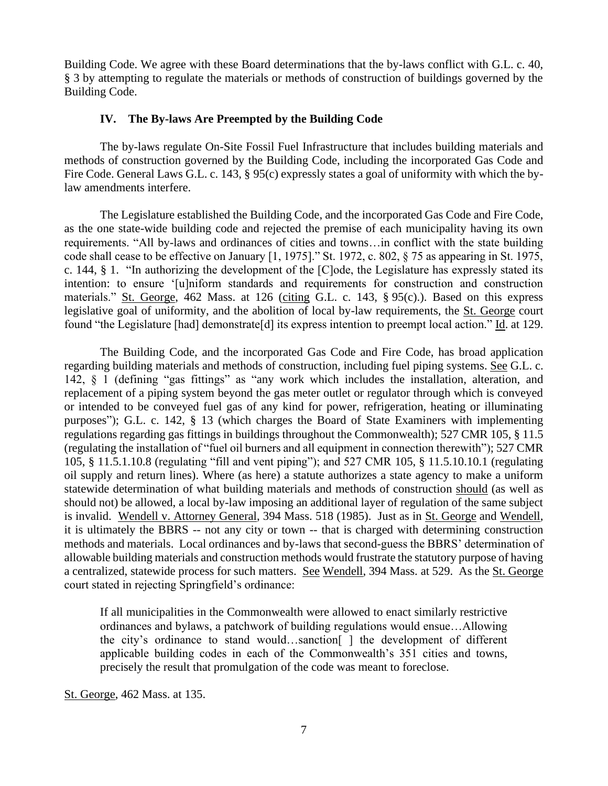Building Code. We agree with these Board determinations that the by-laws conflict with G.L. c. 40, § 3 by attempting to regulate the materials or methods of construction of buildings governed by the Building Code.

## **IV. The By-laws Are Preempted by the Building Code**

The by-laws regulate On-Site Fossil Fuel Infrastructure that includes building materials and methods of construction governed by the Building Code, including the incorporated Gas Code and Fire Code. General Laws G.L. c. 143, § 95(c) expressly states a goal of uniformity with which the bylaw amendments interfere.

The Legislature established the Building Code, and the incorporated Gas Code and Fire Code, as the one state-wide building code and rejected the premise of each municipality having its own requirements. "All by-laws and ordinances of cities and towns…in conflict with the state building code shall cease to be effective on January [1, 1975]." St. 1972, c. 802, § 75 as appearing in St. 1975, c. 144, § 1. "In authorizing the development of the [C]ode, the Legislature has expressly stated its intention: to ensure '[u]niform standards and requirements for construction and construction materials." St. George, 462 Mass. at 126 (citing G.L. c. 143, § 95(c).). Based on this express legislative goal of uniformity, and the abolition of local by-law requirements, the St. George court found "the Legislature [had] demonstrate<sup>[d]</sup> its express intention to preempt local action." Id. at 129.

The Building Code, and the incorporated Gas Code and Fire Code, has broad application regarding building materials and methods of construction, including fuel piping systems. See G.L. c. 142, § 1 (defining "gas fittings" as "any work which includes the installation, alteration, and replacement of a piping system beyond the gas meter outlet or regulator through which is conveyed or intended to be conveyed fuel gas of any kind for power, refrigeration, heating or illuminating purposes"); G.L. c. 142, § 13 (which charges the Board of State Examiners with implementing regulations regarding gas fittings in buildings throughout the Commonwealth); 527 CMR 105, § 11.5 (regulating the installation of "fuel oil burners and all equipment in connection therewith"); 527 CMR 105, § 11.5.1.10.8 (regulating "fill and vent piping"); and 527 CMR 105, § 11.5.10.10.1 (regulating oil supply and return lines). Where (as here) a statute authorizes a state agency to make a uniform statewide determination of what building materials and methods of construction should (as well as should not) be allowed, a local by-law imposing an additional layer of regulation of the same subject is invalid. Wendell v. Attorney General, 394 Mass. 518 (1985). Just as in St. George and Wendell, it is ultimately the BBRS -- not any city or town -- that is charged with determining construction methods and materials. Local ordinances and by-laws that second-guess the BBRS' determination of allowable building materials and construction methods would frustrate the statutory purpose of having a centralized, statewide process for such matters. See Wendell, 394 Mass. at 529. As the St. George court stated in rejecting Springfield's ordinance:

If all municipalities in the Commonwealth were allowed to enact similarly restrictive ordinances and bylaws, a patchwork of building regulations would ensue…Allowing the city's ordinance to stand would…sanction[ ] the development of different applicable building codes in each of the Commonwealth's 351 cities and towns, precisely the result that promulgation of the code was meant to foreclose.

St. George, 462 Mass. at 135.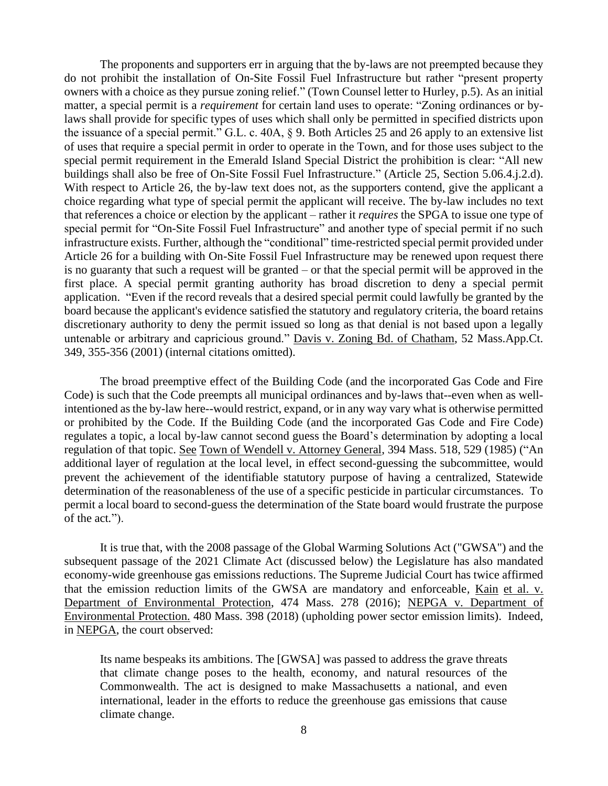The proponents and supporters err in arguing that the by-laws are not preempted because they do not prohibit the installation of On-Site Fossil Fuel Infrastructure but rather "present property owners with a choice as they pursue zoning relief." (Town Counsel letter to Hurley, p.5). As an initial matter, a special permit is a *requirement* for certain land uses to operate: "Zoning ordinances or bylaws shall provide for specific types of uses which shall only be permitted in specified districts upon the issuance of a special permit." G.L. c. 40A, § 9. Both Articles 25 and 26 apply to an extensive list of uses that require a special permit in order to operate in the Town, and for those uses subject to the special permit requirement in the Emerald Island Special District the prohibition is clear: "All new buildings shall also be free of On-Site Fossil Fuel Infrastructure." (Article 25, Section 5.06.4.j.2.d). With respect to Article 26, the by-law text does not, as the supporters contend, give the applicant a choice regarding what type of special permit the applicant will receive. The by-law includes no text that references a choice or election by the applicant – rather it *requires* the SPGA to issue one type of special permit for "On-Site Fossil Fuel Infrastructure" and another type of special permit if no such infrastructure exists. Further, although the "conditional" time-restricted special permit provided under Article 26 for a building with On-Site Fossil Fuel Infrastructure may be renewed upon request there is no guaranty that such a request will be granted – or that the special permit will be approved in the first place. A special permit granting authority has broad discretion to deny a special permit application. "Even if the record reveals that a desired special permit could lawfully be granted by the board because the applicant's evidence satisfied the statutory and regulatory criteria, the board retains discretionary authority to deny the permit issued so long as that denial is not based upon a legally untenable or arbitrary and capricious ground." Davis v. Zoning Bd. of Chatham, 52 Mass.App.Ct. 349, 355-356 (2001) (internal citations omitted).

The broad preemptive effect of the Building Code (and the incorporated Gas Code and Fire Code) is such that the Code preempts all municipal ordinances and by-laws that--even when as wellintentioned as the by-law here--would restrict, expand, or in any way vary what is otherwise permitted or prohibited by the Code. If the Building Code (and the incorporated Gas Code and Fire Code) regulates a topic, a local by-law cannot second guess the Board's determination by adopting a local regulation of that topic. See Town of Wendell v. Attorney General, 394 Mass. 518, 529 (1985) ("An additional layer of regulation at the local level, in effect second-guessing the subcommittee, would prevent the achievement of the identifiable statutory purpose of having a centralized, Statewide determination of the reasonableness of the use of a specific pesticide in particular circumstances. To permit a local board to second-guess the determination of the State board would frustrate the purpose of the act*.*").

It is true that, with the 2008 passage of the Global Warming Solutions Act ("GWSA") and the subsequent passage of the 2021 Climate Act (discussed below) the Legislature has also mandated economy-wide greenhouse gas emissions reductions. The Supreme Judicial Court has twice affirmed that the emission reduction limits of the GWSA are mandatory and enforceable*,* Kain et al. v. Department of Environmental Protection, 474 Mass. 278 (2016); NEPGA v. Department of Environmental Protection. 480 Mass. 398 (2018) (upholding power sector emission limits). Indeed, in NEPGA, the court observed:

Its name bespeaks its ambitions. The [GWSA] was passed to address the grave threats that climate change poses to the health, economy, and natural resources of the Commonwealth. The act is designed to make Massachusetts a national, and even international, leader in the efforts to reduce the greenhouse gas emissions that cause climate change.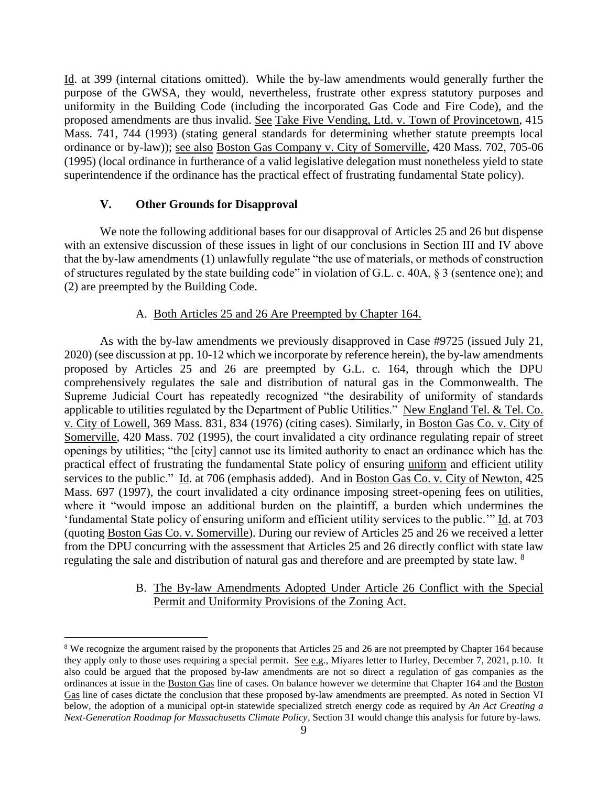Id. at 399 (internal citations omitted). While the by-law amendments would generally further the purpose of the GWSA, they would, nevertheless, frustrate other express statutory purposes and uniformity in the Building Code (including the incorporated Gas Code and Fire Code), and the proposed amendments are thus invalid. See Take Five Vending, Ltd. v. Town of Provincetown, 415 Mass. 741, 744 (1993) (stating general standards for determining whether statute preempts local ordinance or by-law)); see also Boston Gas Company v. City of Somerville, 420 Mass. 702, 705-06 (1995) (local ordinance in furtherance of a valid legislative delegation must nonetheless yield to state superintendence if the ordinance has the practical effect of frustrating fundamental State policy).

### **V. Other Grounds for Disapproval**

We note the following additional bases for our disapproval of Articles 25 and 26 but dispense with an extensive discussion of these issues in light of our conclusions in Section III and IV above that the by-law amendments (1) unlawfully regulate "the use of materials, or methods of construction of structures regulated by the state building code" in violation of G.L. c. 40A, § 3 (sentence one); and (2) are preempted by the Building Code.

### A. Both Articles 25 and 26 Are Preempted by Chapter 164.

As with the by-law amendments we previously disapproved in Case #9725 (issued July 21, 2020) (see discussion at pp. 10-12 which we incorporate by reference herein), the by-law amendments proposed by Articles 25 and 26 are preempted by G.L. c. 164, through which the DPU comprehensively regulates the sale and distribution of natural gas in the Commonwealth. The Supreme Judicial Court has repeatedly recognized "the desirability of uniformity of standards applicable to utilities regulated by the Department of Public Utilities." New England Tel. & Tel. Co. v. City of Lowell, 369 Mass. 831, 834 (1976) (citing cases). Similarly, in Boston Gas Co. v. City of Somerville, 420 Mass. 702 (1995), the court invalidated a city ordinance regulating repair of street openings by utilities; "the [city] cannot use its limited authority to enact an ordinance which has the practical effect of frustrating the fundamental State policy of ensuring uniform and efficient utility services to the public." Id. at 706 (emphasis added). And in Boston Gas Co. v. City of Newton, 425 Mass. 697 (1997), the court invalidated a city ordinance imposing street-opening fees on utilities, where it "would impose an additional burden on the plaintiff, a burden which undermines the 'fundamental State policy of ensuring uniform and efficient utility services to the public.'" Id. at 703 (quoting Boston Gas Co. v. Somerville). During our review of Articles 25 and 26 we received a letter from the DPU concurring with the assessment that Articles 25 and 26 directly conflict with state law regulating the sale and distribution of natural gas and therefore and are preempted by state law. <sup>8</sup>

### B. The By-law Amendments Adopted Under Article 26 Conflict with the Special Permit and Uniformity Provisions of the Zoning Act.

<sup>&</sup>lt;sup>8</sup> We recognize the argument raised by the proponents that Articles 25 and 26 are not preempted by Chapter 164 because they apply only to those uses requiring a special permit. See e.g., Miyares letter to Hurley, December 7, 2021, p.10. It also could be argued that the proposed by-law amendments are not so direct a regulation of gas companies as the ordinances at issue in the Boston Gas line of cases. On balance however we determine that Chapter 164 and the Boston Gas line of cases dictate the conclusion that these proposed by-law amendments are preempted. As noted in Section VI below, the adoption of a municipal opt-in statewide specialized stretch energy code as required by *An Act Creating a Next-Generation Roadmap for Massachusetts Climate Policy*, Section 31 would change this analysis for future by-laws.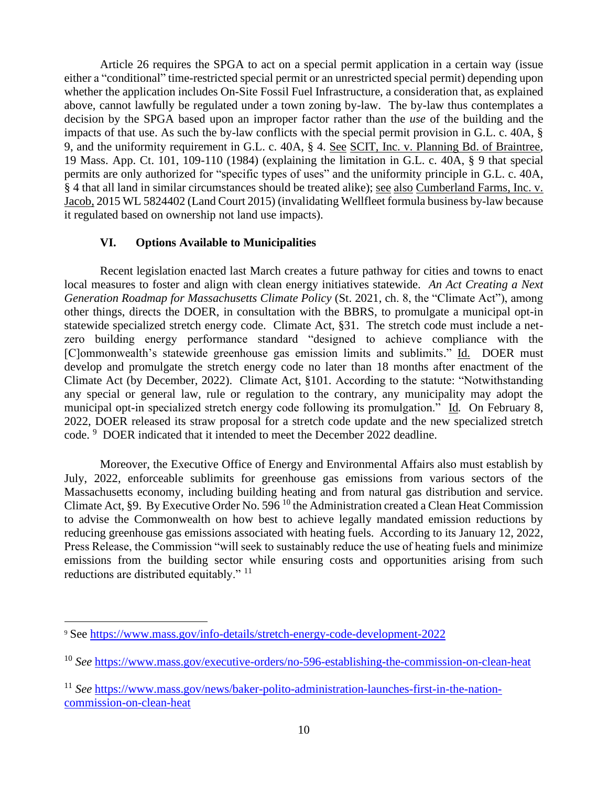Article 26 requires the SPGA to act on a special permit application in a certain way (issue either a "conditional" time-restricted special permit or an unrestricted special permit) depending upon whether the application includes On-Site Fossil Fuel Infrastructure, a consideration that, as explained above, cannot lawfully be regulated under a town zoning by-law. The by-law thus contemplates a decision by the SPGA based upon an improper factor rather than the *use* of the building and the impacts of that use. As such the by-law conflicts with the special permit provision in G.L. c. 40A, § 9, and the uniformity requirement in G.L. c. 40A, § 4. See SCIT, Inc. v. Planning Bd. of Braintree, 19 Mass. App. Ct. 101, 109-110 (1984) (explaining the limitation in G.L. c. 40A, § 9 that special permits are only authorized for "specific types of uses" and the uniformity principle in G.L. c. 40A, § 4 that all land in similar circumstances should be treated alike); see also Cumberland Farms, Inc. v. Jacob, 2015 WL 5824402 (Land Court 2015) (invalidating Wellfleet formula business by-law because it regulated based on ownership not land use impacts).

## **VI. Options Available to Municipalities**

Recent legislation enacted last March creates a future pathway for cities and towns to enact local measures to foster and align with clean energy initiatives statewide. *An Act Creating a Next Generation Roadmap for Massachusetts Climate Policy* (St. 2021, ch. 8, the "Climate Act"), among other things, directs the DOER, in consultation with the BBRS, to promulgate a municipal opt-in statewide specialized stretch energy code. Climate Act, §31. The stretch code must include a netzero building energy performance standard "designed to achieve compliance with the [C]ommonwealth's statewide greenhouse gas emission limits and sublimits." Id. DOER must develop and promulgate the stretch energy code no later than 18 months after enactment of the Climate Act (by December, 2022). Climate Act, §101. According to the statute: "Notwithstanding any special or general law, rule or regulation to the contrary, any municipality may adopt the municipal opt-in specialized stretch energy code following its promulgation." Id*.* On February 8, 2022, DOER released its straw proposal for a stretch code update and the new specialized stretch code. <sup>9</sup> DOER indicated that it intended to meet the December 2022 deadline.

Moreover, the Executive Office of Energy and Environmental Affairs also must establish by July, 2022, enforceable sublimits for greenhouse gas emissions from various sectors of the Massachusetts economy, including building heating and from natural gas distribution and service. Climate Act, §9. By Executive Order No. 596 <sup>10</sup> the Administration created a Clean Heat Commission to advise the Commonwealth on how best to achieve legally mandated emission reductions by reducing greenhouse gas emissions associated with heating fuels. According to its January 12, 2022, Press Release, the Commission "will seek to sustainably reduce the use of heating fuels and minimize emissions from the building sector while ensuring costs and opportunities arising from such reductions are distributed equitably."<sup>11</sup>

<sup>9</sup> See<https://www.mass.gov/info-details/stretch-energy-code-development-2022>

<sup>10</sup> *See* <https://www.mass.gov/executive-orders/no-596-establishing-the-commission-on-clean-heat>

<sup>11</sup> *See* [https://www.mass.gov/news/baker-polito-administration-launches-first-in-the-nation](https://www.mass.gov/news/baker-polito-administration-launches-first-in-the-nation-commission-on-clean-heat)[commission-on-clean-heat](https://www.mass.gov/news/baker-polito-administration-launches-first-in-the-nation-commission-on-clean-heat)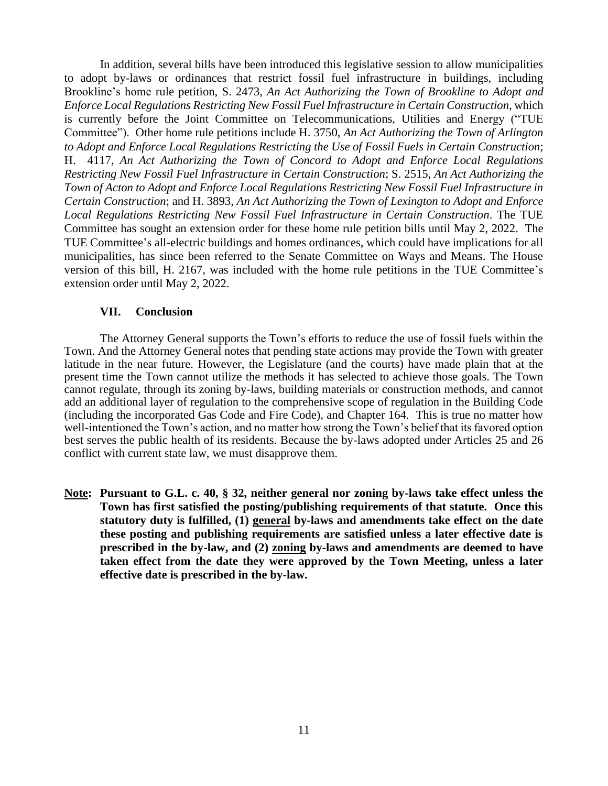In addition, several bills have been introduced this legislative session to allow municipalities to adopt by-laws or ordinances that restrict fossil fuel infrastructure in buildings, including Brookline's home rule petition, S. 2473, *An Act Authorizing the Town of Brookline to Adopt and Enforce Local Regulations Restricting New Fossil Fuel Infrastructure in Certain Construction*, which is currently before the Joint Committee on Telecommunications, Utilities and Energy ("TUE Committee"). Other home rule petitions include H. 3750, *An Act Authorizing the Town of Arlington to Adopt and Enforce Local Regulations Restricting the Use of Fossil Fuels in Certain Construction*; H. 4117, *An Act Authorizing the Town of Concord to Adopt and Enforce Local Regulations Restricting New Fossil Fuel Infrastructure in Certain Construction*; S. 2515, *An Act Authorizing the Town of Acton to Adopt and Enforce Local Regulations Restricting New Fossil Fuel Infrastructure in Certain Construction*; and H. 3893, *An Act Authorizing the Town of Lexington to Adopt and Enforce Local Regulations Restricting New Fossil Fuel Infrastructure in Certain Construction*. The TUE Committee has sought an extension order for these home rule petition bills until May 2, 2022. The TUE Committee's all-electric buildings and homes ordinances, which could have implications for all municipalities, has since been referred to the Senate Committee on Ways and Means. The House version of this bill, H. 2167, was included with the home rule petitions in the TUE Committee's extension order until May 2, 2022.

### **VII. Conclusion**

The Attorney General supports the Town's efforts to reduce the use of fossil fuels within the Town. And the Attorney General notes that pending state actions may provide the Town with greater latitude in the near future. However, the Legislature (and the courts) have made plain that at the present time the Town cannot utilize the methods it has selected to achieve those goals. The Town cannot regulate, through its zoning by-laws, building materials or construction methods, and cannot add an additional layer of regulation to the comprehensive scope of regulation in the Building Code (including the incorporated Gas Code and Fire Code), and Chapter 164. This is true no matter how well-intentioned the Town's action, and no matter how strong the Town's belief that its favored option best serves the public health of its residents. Because the by-laws adopted under Articles 25 and 26 conflict with current state law, we must disapprove them.

**Note: Pursuant to G.L. c. 40, § 32, neither general nor zoning by-laws take effect unless the Town has first satisfied the posting/publishing requirements of that statute. Once this statutory duty is fulfilled, (1) general by-laws and amendments take effect on the date these posting and publishing requirements are satisfied unless a later effective date is prescribed in the by-law, and (2) zoning by-laws and amendments are deemed to have taken effect from the date they were approved by the Town Meeting, unless a later effective date is prescribed in the by-law.**